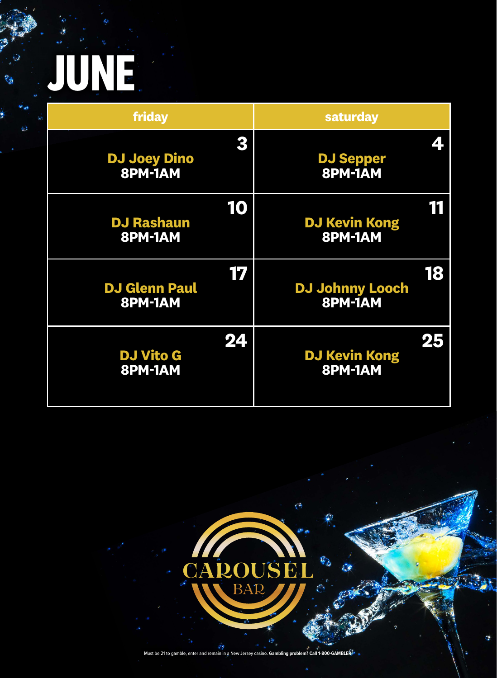

Must be 21 to gamble, enter and remain in a New Jersey casino. **Gambling problem? Call 1-800-GAMBLER.**



#### CAROUSEL BAR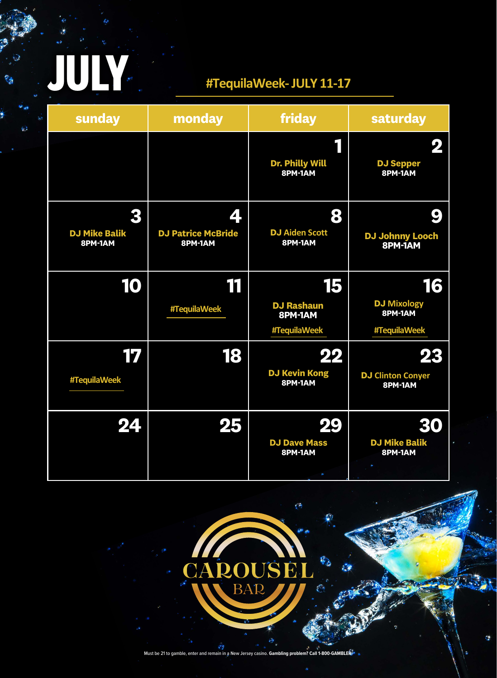| sunday | monday | friday                     | saturday             |
|--------|--------|----------------------------|----------------------|
|        |        |                            |                      |
|        |        | Dr. Philly Will<br>8PM-1AM | DJ Sepper<br>8PM-1AM |



| #TequilaWeek | $\blacksquare$ | DJ Kevin Kong<br>8PM-1AM                 | DJ Clinton Conyer<br>8PM-1AM    |
|--------------|----------------|------------------------------------------|---------------------------------|
| VZN          |                | <b>DJ Dave Mass</b><br>8PM-1AM<br>$\sim$ | <b>DJ Mike Balik</b><br>8PM-1AM |



#### CAROUSEL BAP  $\int$   $\theta$

Must be 21 to gamble, enter and remain in a New Jersey casino. **Gambling problem? Call 1-800-GAMBLER.**

**JULY**

é,

#### **[#TequilaWeek-JULY](https://www.ballys.com/atlantic-city/tequila.htm) 11-17**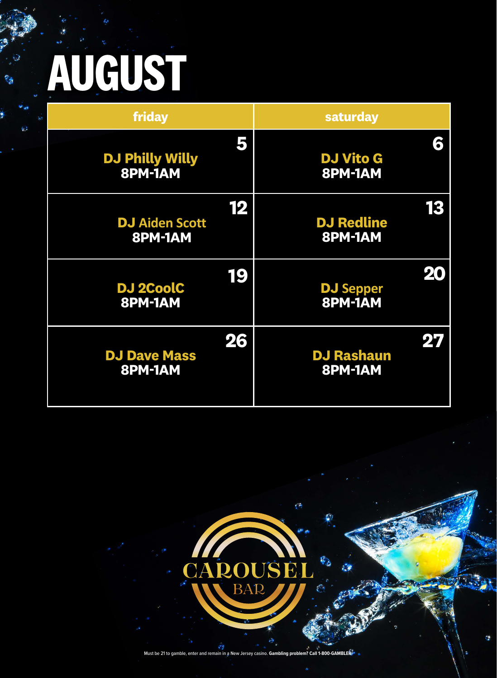**friday saturday**

**5**



### CAROUSEL BAR

#### **DJ Philly Willy 8PM-1AM**

**6**

#### **DJ Vito G 8PM-1AM**



Must be 21 to gamble, enter and remain in a New Jersey casino. **Gambling problem? Call 1-800-GAMBLER.**

# **AUGUST**

 $\mathbb{C}_{2}$ 

 $\omega$